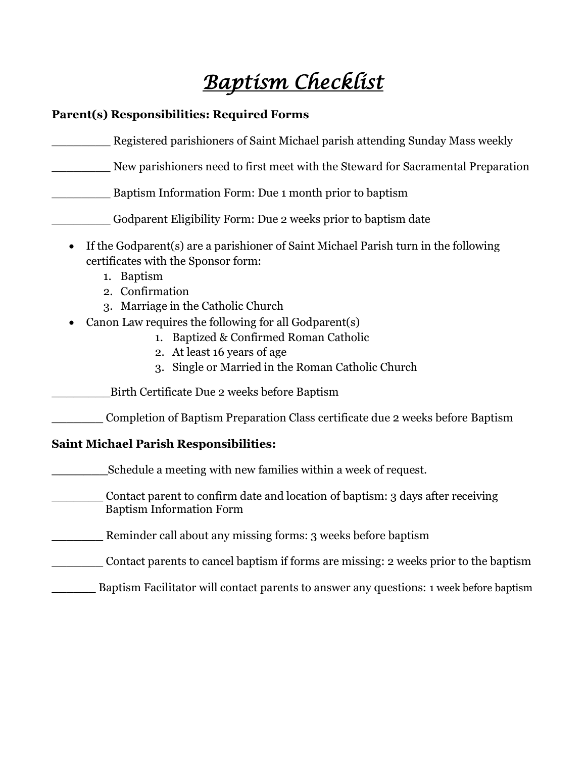# *Baptism Checklist*

### **Parent(s) Responsibilities: Required Forms**

| Registered parishioners of Saint Michael parish attending Sunday Mass weekly                                                                                                                                                                                                                                                                                                             |
|------------------------------------------------------------------------------------------------------------------------------------------------------------------------------------------------------------------------------------------------------------------------------------------------------------------------------------------------------------------------------------------|
| New parishioners need to first meet with the Steward for Sacramental Preparation                                                                                                                                                                                                                                                                                                         |
| Baptism Information Form: Due 1 month prior to baptism                                                                                                                                                                                                                                                                                                                                   |
| Godparent Eligibility Form: Due 2 weeks prior to baptism date                                                                                                                                                                                                                                                                                                                            |
| If the Godparent(s) are a parishioner of Saint Michael Parish turn in the following<br>certificates with the Sponsor form:<br>1. Baptism<br>2. Confirmation<br>3. Marriage in the Catholic Church<br>Canon Law requires the following for all Godparent(s)<br>1. Baptized & Confirmed Roman Catholic<br>2. At least 16 years of age<br>3. Single or Married in the Roman Catholic Church |
| Birth Certificate Due 2 weeks before Baptism                                                                                                                                                                                                                                                                                                                                             |
| Completion of Baptism Preparation Class certificate due 2 weeks before Baptism                                                                                                                                                                                                                                                                                                           |
| <b>Saint Michael Parish Responsibilities:</b>                                                                                                                                                                                                                                                                                                                                            |
| Schedule a meeting with new families within a week of request.                                                                                                                                                                                                                                                                                                                           |
| Contact parent to confirm date and location of baptism: 3 days after receiving<br><b>Baptism Information Form</b>                                                                                                                                                                                                                                                                        |
| Reminder call about any missing forms: 3 weeks before baptism                                                                                                                                                                                                                                                                                                                            |
| Contact parents to cancel baptism if forms are missing: 2 weeks prior to the baptism                                                                                                                                                                                                                                                                                                     |
| Baptism Facilitator will contact parents to answer any questions: 1 week before baptism                                                                                                                                                                                                                                                                                                  |
|                                                                                                                                                                                                                                                                                                                                                                                          |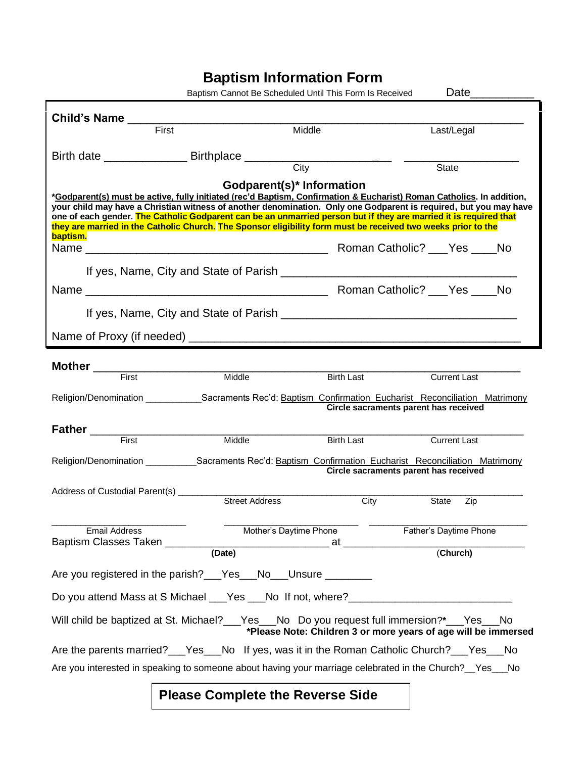## **Baptism Information Form**

|                                                                                                                                                                                                                                        | Baptism Cannot Be Scheduled Until This Form Is Received |                   | Date___________                                                |           |  |  |  |  |
|----------------------------------------------------------------------------------------------------------------------------------------------------------------------------------------------------------------------------------------|---------------------------------------------------------|-------------------|----------------------------------------------------------------|-----------|--|--|--|--|
|                                                                                                                                                                                                                                        |                                                         |                   |                                                                |           |  |  |  |  |
| Child's Name<br>First<br>First                                                                                                                                                                                                         |                                                         | Middle            | Last/Legal                                                     |           |  |  |  |  |
|                                                                                                                                                                                                                                        |                                                         |                   |                                                                |           |  |  |  |  |
|                                                                                                                                                                                                                                        |                                                         |                   | <b>State</b>                                                   |           |  |  |  |  |
|                                                                                                                                                                                                                                        |                                                         |                   |                                                                |           |  |  |  |  |
| Godparent(s)* Information<br>*Godparent(s) must be active, fully initiated (rec'd Baptism, Confirmation & Eucharist) Roman Catholics. In addition,                                                                                     |                                                         |                   |                                                                |           |  |  |  |  |
| your child may have a Christian witness of another denomination. Only one Godparent is required, but you may have<br>one of each gender. The Catholic Godparent can be an unmarried person but if they are married it is required that |                                                         |                   |                                                                |           |  |  |  |  |
| they are married in the Catholic Church. The Sponsor eligibility form must be received two weeks prior to the                                                                                                                          |                                                         |                   |                                                                |           |  |  |  |  |
| baptism.                                                                                                                                                                                                                               |                                                         |                   |                                                                |           |  |  |  |  |
|                                                                                                                                                                                                                                        |                                                         |                   |                                                                |           |  |  |  |  |
|                                                                                                                                                                                                                                        |                                                         |                   |                                                                |           |  |  |  |  |
|                                                                                                                                                                                                                                        |                                                         |                   |                                                                |           |  |  |  |  |
|                                                                                                                                                                                                                                        |                                                         |                   |                                                                |           |  |  |  |  |
|                                                                                                                                                                                                                                        |                                                         |                   |                                                                |           |  |  |  |  |
|                                                                                                                                                                                                                                        |                                                         |                   |                                                                |           |  |  |  |  |
|                                                                                                                                                                                                                                        |                                                         |                   |                                                                |           |  |  |  |  |
| First                                                                                                                                                                                                                                  | Middle                                                  | <b>Birth Last</b> | <b>Current Last</b>                                            |           |  |  |  |  |
| Religion/Denomination ________________Sacraments Rec'd: Baptism Confirmation Eucharist Reconciliation Matrimony                                                                                                                        |                                                         |                   |                                                                |           |  |  |  |  |
|                                                                                                                                                                                                                                        |                                                         |                   | Circle sacraments parent has received                          |           |  |  |  |  |
|                                                                                                                                                                                                                                        |                                                         |                   |                                                                |           |  |  |  |  |
| Father First Middle                                                                                                                                                                                                                    |                                                         | <b>Birth Last</b> | <b>Current Last</b>                                            |           |  |  |  |  |
| Religion/Denomination _____________Sacraments Rec'd: Baptism Confirmation Eucharist Reconciliation Matrimony                                                                                                                           |                                                         |                   |                                                                |           |  |  |  |  |
|                                                                                                                                                                                                                                        |                                                         |                   | Circle sacraments parent has received                          |           |  |  |  |  |
| Address of Custodial Parent(s) _________                                                                                                                                                                                               |                                                         |                   |                                                                |           |  |  |  |  |
|                                                                                                                                                                                                                                        | <b>Street Address</b>                                   | City              | State<br>Zip                                                   |           |  |  |  |  |
| <b>Email Address</b>                                                                                                                                                                                                                   | Mother's Daytime Phone                                  |                   | Father's Daytime Phone                                         |           |  |  |  |  |
| Baptism Classes Taken _______                                                                                                                                                                                                          | $\overbrace{ }$ at $\overbrace{ }$ (Church)             |                   |                                                                |           |  |  |  |  |
|                                                                                                                                                                                                                                        |                                                         |                   |                                                                |           |  |  |  |  |
| Are you registered in the parish?___Yes___No___Unsure ________                                                                                                                                                                         |                                                         |                   |                                                                |           |  |  |  |  |
| Do you attend Mass at S Michael ___Yes ___No If not, where?_____________________                                                                                                                                                       |                                                         |                   |                                                                |           |  |  |  |  |
| Will child be baptized at St. Michael?___Yes___No Do you request full immersion?*___Yes___                                                                                                                                             |                                                         |                   | *Please Note: Children 3 or more years of age will be immersed | <b>No</b> |  |  |  |  |
| Are the parents married?___Yes___                                                                                                                                                                                                      |                                                         |                   | No If yes, was it in the Roman Catholic Church?___Yes_         | No        |  |  |  |  |

### **Please Complete the Reverse Side**

Are you interested in speaking to someone about having your marriage celebrated in the Church? \_\_ Yes \_\_\_No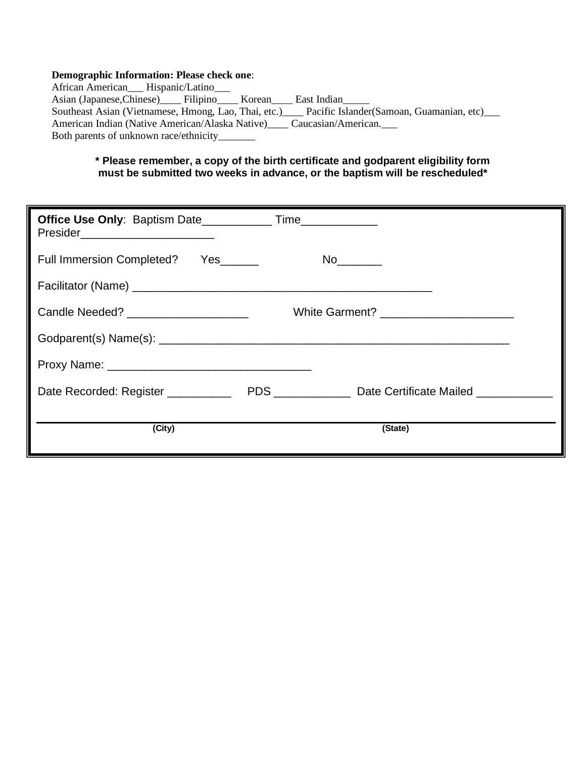#### **Demographic Information: Please check one**:

African American\_\_\_ Hispanic/Latino\_\_\_ Asian (Japanese, Chinese)\_\_\_\_\_ Filipino\_\_\_\_\_ Korean\_\_\_\_ East Indian\_\_\_\_ Southeast Asian (Vietnamese, Hmong, Lao, Thai, etc.)\_\_\_\_ Pacific Islander(Samoan, Guamanian, etc)\_\_\_ American Indian (Native American/Alaska Native)\_\_\_\_ Caucasian/American.\_\_\_ Both parents of unknown race/ethnicity\_\_\_\_\_\_\_

#### **\* Please remember, a copy of the birth certificate and godparent eligibility form must be submitted two weeks in advance, or the baptism will be rescheduled\***

| Presider__________________________    |                                                            |  |
|---------------------------------------|------------------------------------------------------------|--|
| Full Immersion Completed? Yes         |                                                            |  |
|                                       |                                                            |  |
| Candle Needed? ______________________ |                                                            |  |
|                                       |                                                            |  |
|                                       |                                                            |  |
| Date Recorded: Register __________    | PDS ________________ Date Certificate Mailed _____________ |  |
| (City)                                | (State)                                                    |  |